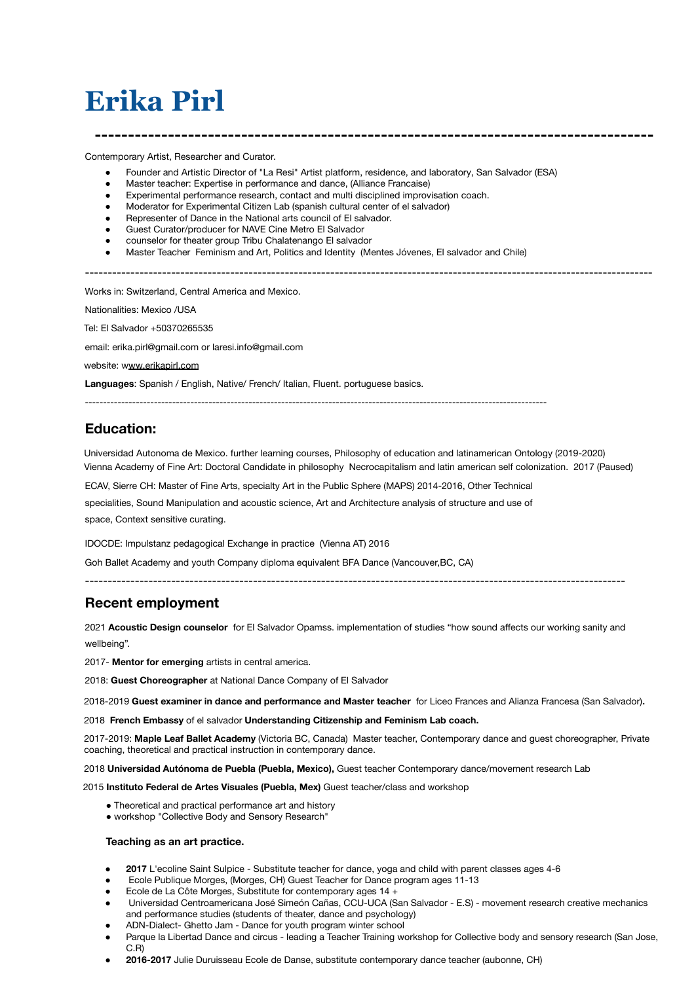# **Erika Pirl**

Contemporary Artist, Researcher and Curator.

- Founder and Artistic Director of "La Resi" Artist platform, residence, and laboratory, San Salvador (ESA)
- Master teacher: Expertise in performance and dance, (Alliance Francaise)
- Experimental performance research, contact and multi disciplined improvisation coach.
- Moderator for Experimental Citizen Lab (spanish cultural center of el salvador)
- Representer of Dance in the National arts council of El salvador.
- Guest Curator/producer for NAVE Cine Metro El Salvador
- counselor for theater group Tribu Chalatenango El salvador
- Master Teacher Feminism and Art, Politics and Identity (Mentes Jóvenes, El salvador and Chile)

-----------------------------------------------------------------------------------------------------------------------------

**------------------------------------------------------------------------------------**

Works in: Switzerland, Central America and Mexico.

Nationalities: Mexico /USA

Tel: El Salvador +50370265535

email: erika.pirl@gmail.com or laresi.info@gmail.com

website: www.erikapirl.com

**Languages**: Spanish / English, Native/ French/ Italian, Fluent. portuguese basics.

# -------------------------------------------------------------------------------------------------------------------------------

# **Education:**

Universidad Autonoma de Mexico. further learning courses, Philosophy of education and latinamerican Ontology (2019-2020) Vienna Academy of Fine Art: Doctoral Candidate in philosophy Necrocapitalism and latin american self colonization. 2017 (Paused)

ECAV, Sierre CH: Master of Fine Arts, specialty Art in the Public Sphere (MAPS) 2014-2016, Other Technical specialities, Sound Manipulation and acoustic science, Art and Architecture analysis of structure and use of space, Context sensitive curating.

IDOCDE: Impulstanz pedagogical Exchange in practice (Vienna AT) 2016

Goh Ballet Academy and youth Company diploma equivalent BFA Dance (Vancouver,BC, CA)

-----------------------------------------------------------------------------------------------------------------------

# **Recent employment**

2021 **Acoustic Design counselor** for El Salvador Opamss. implementation of studies "how sound affects our working sanity and wellbeing".

2017- **Mentor for emerging** artists in central america.

2018: **Guest Choreographer** at National Dance Company of El Salvador

2018-2019 **Guest examiner in dance and performance and Master teacher** for Liceo Frances and Alianza Francesa (San Salvador).

2018 **French Embassy** of el salvador **Understanding Citizenship and Feminism Lab coach.**

2017-2019: **Maple Leaf Ballet Academy** (Victoria BC, Canada) Master teacher, Contemporary dance and guest choreographer, Private coaching, theoretical and practical instruction in contemporary dance.

2018 **Universidad Autónoma de Puebla (Puebla, Mexico),** Guest teacher Contemporary dance/movement research Lab

2015 **Instituto Federal de Artes Visuales (Puebla, Mex)** Guest teacher/class and workshop

- Theoretical and practical performance art and history
- workshop "Collective Body and Sensory Research"

# **Teaching as an art practice.**

- **2017** L'ecoline Saint Sulpice Substitute teacher for dance, yoga and child with parent classes ages 4-6
- Ecole Publique Morges, (Morges, CH) Guest Teacher for Dance program ages 11-13
- Ecole de La Côte Morges, Substitute for contemporary ages  $14 +$
- Universidad Centroamericana José Simeón Cañas, CCU-UCA (San Salvador E.S) movement research creative mechanics and performance studies (students of theater, dance and psychology)
- ADN-Dialect- Ghetto Jam Dance for youth program winter school
- Parque la Libertad Dance and circus leading a Teacher Training workshop for Collective body and sensory research (San Jose, C.R)
- **2016-2017** Julie Duruisseau Ecole de Danse, substitute contemporary dance teacher (aubonne, CH)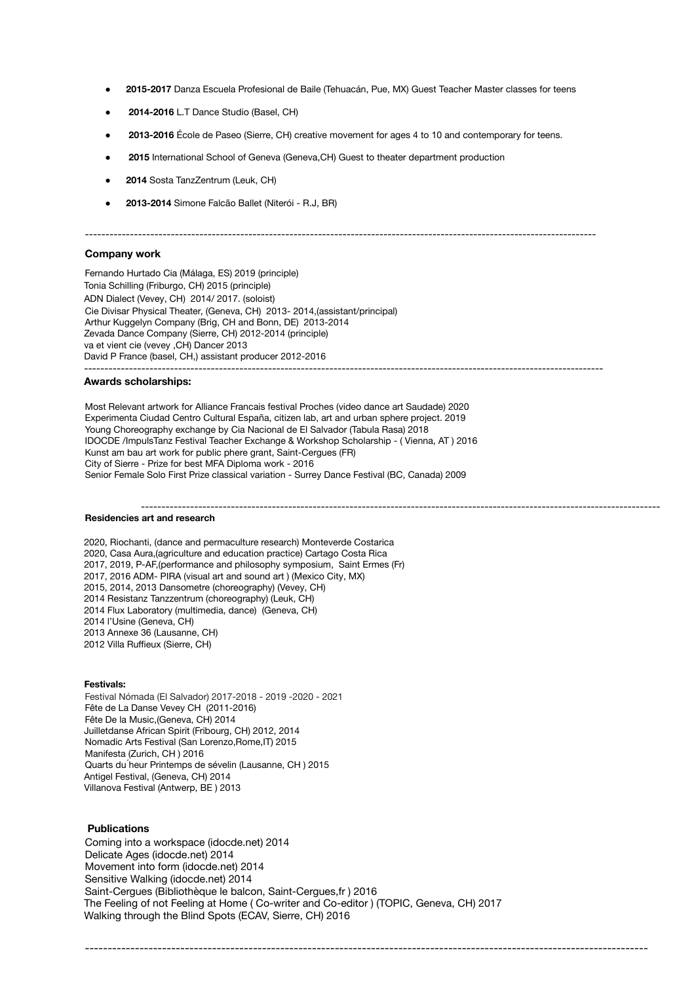- 2015-2017 Danza Escuela Profesional de Baile (Tehuacán, Pue, MX) Guest Teacher Master classes for teens
- **2014-2016** L.T Dance Studio (Basel, CH)
- 2013-2016 École de Paseo (Sierre, CH) creative movement for ages 4 to 10 and contemporary for teens.
- 2015 International School of Geneva (Geneva, CH) Guest to theater department production
- **2014** Sosta TanzZentrum (Leuk, CH)
- **2013-2014** Simone Falcão Ballet (Niterói R.J, BR)

## -----------------------------------------------------------------------------------------------------------------------------

# **Company work**

Fernando Hurtado Cia (Málaga, ES) 2019 (principle) Tonia Schilling (Friburgo, CH) 2015 (principle) ADN Dialect (Vevey, CH) 2014/ 2017. (soloist) Cie Divisar Physical Theater, (Geneva, CH) 2013- 2014,(assistant/principal) Arthur Kuggelyn Company (Brig, CH and Bonn, DE) 2013-2014 Zevada Dance Company (Sierre, CH) 2012-2014 (principle) va et vient cie (vevey ,CH) Dancer 2013 David P France (basel, CH,) assistant producer 2012-2016 -------------------------------------------------------------------------------------------------------------------------------

## **Awards scholarships:**

Most Relevant artwork for Alliance Francais festival Proches (video dance art Saudade) 2020 Experimenta Ciudad Centro Cultural España, citizen lab, art and urban sphere project. 2019 Young Choreography exchange by Cia Nacional de El Salvador (Tabula Rasa) 2018 IDOCDE /ImpulsTanz Festival Teacher Exchange & Workshop Scholarship - ( Vienna, AT ) 2016 Kunst am bau art work for public phere grant, Saint-Cergues (FR) City of Sierre - Prize for best MFA Diploma work - 2016 Senior Female Solo First Prize classical variation - Surrey Dance Festival (BC, Canada) 2009

#### ------------------------------------------------------------------------------------------------------------------------------- **Residencies art and research**

2020, Riochanti, (dance and permaculture research) Monteverde Costarica 2020, Casa Aura,(agriculture and education practice) Cartago Costa Rica 2017, 2019, P-AF,(performance and philosophy symposium, Saint Ermes (Fr) 2017, 2016 ADM- PIRA (visual art and sound art ) (Mexico City, MX) 2015, 2014, 2013 Dansometre (choreography) (Vevey, CH) 2014 Resistanz Tanzzentrum (choreography) (Leuk, CH) 2014 Flux Laboratory (multimedia, dance) (Geneva, CH) 2014 l'Usine (Geneva, CH) 2013 Annexe 36 (Lausanne, CH) 2012 Villa Ruffieux (Sierre, CH)

# **Festivals:**

Festival Nómada (El Salvador) 2017-2018 - 2019 -2020 - 2021 Fête de La Danse Vevey CH (2011-2016) Fête De la Music,(Geneva, CH) 2014 Juilletdanse African Spirit (Fribourg, CH) 2012, 2014 Nomadic Arts Festival (San Lorenzo,Rome,IT) 2015 Manifesta (Zurich, CH ) 2016 Quarts du ́heur Printemps de sévelin (Lausanne, CH ) 2015 Antigel Festival, (Geneva, CH) 2014 Villanova Festival (Antwerp, BE ) 2013

# **Publications**

Coming into a workspace (idocde.net) 2014 Delicate Ages (idocde.net) 2014 Movement into form (idocde.net) 2014 Sensitive Walking (idocde.net) 2014 Saint-Cergues (Bibliothèque le balcon, Saint-Cergues,fr ) 2016 The Feeling of not Feeling at Home ( Co-writer and Co-editor ) (TOPIC, Geneva, CH) 2017 Walking through the Blind Spots (ECAV, Sierre, CH) 2016

----------------------------------------------------------------------------------------------------------------------------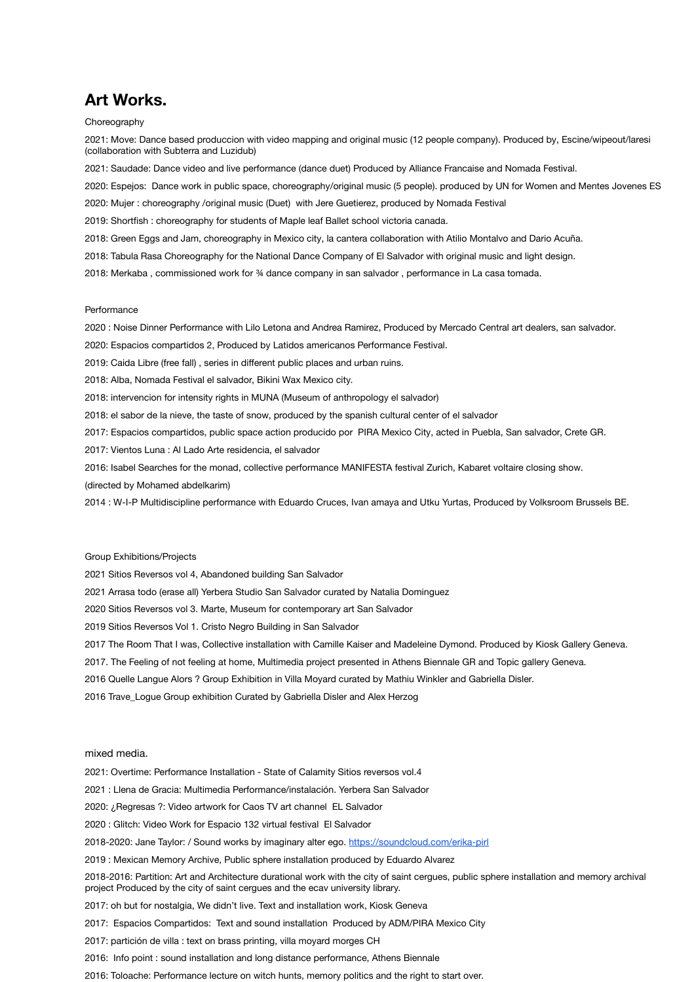# **Art Works.**

# Choreography

2021: Move: Dance based produccion with video mapping and original music (12 people company). Produced by, Escine/wipeout/laresi (collaboration with Subterra and Luzidub)

2021: Saudade: Dance video and live performance (dance duet) Produced by Alliance Francaise and Nomada Festival.

2020: Espejos: Dance work in public space, choreography/original music (5 people). produced by UN for Women and Mentes Jovenes ES

2020: Mujer : choreography /original music (Duet) with Jere Guetierez, produced by Nomada Festival

2019: Shortfish : choreography for students of Maple leaf Ballet school victoria canada.

2018: Green Eggs and Jam, choreography in Mexico city, la cantera collaboration with Atilio Montalvo and Dario Acuña.

2018: Tabula Rasa Choreography for the National Dance Company of El Salvador with original music and light design.

2018: Merkaba , commissioned work for ¾ dance company in san salvador , performance in La casa tomada.

# **Performance**

2020 : Noise Dinner Performance with Lilo Letona and Andrea Ramirez, Produced by Mercado Central art dealers, san salvador.

2020: Espacios compartidos 2, Produced by Latidos americanos Performance Festival.

2019: Caida Libre (free fall) , series in different public places and urban ruins.

2018: Alba, Nomada Festival el salvador, Bikini Wax Mexico city.

2018: intervencion for intensity rights in MUNA (Museum of anthropology el salvador)

2018: el sabor de la nieve, the taste of snow, produced by the spanish cultural center of el salvador

2017: Espacios compartidos, public space action producido por PIRA Mexico City, acted in Puebla, San salvador, Crete GR.

2017: Vientos Luna : Al Lado Arte residencia, el salvador

2016: Isabel Searches for the monad, collective performance MANIFESTA festival Zurich, Kabaret voltaire closing show.

(directed by Mohamed abdelkarim)

2014 : W-I-P Multidiscipline performance with Eduardo Cruces, Ivan amaya and Utku Yurtas, Produced by Volksroom Brussels BE.

## Group Exhibitions/Projects

2021 Sitios Reversos vol 4, Abandoned building San Salvador

2021 Arrasa todo (erase all) Yerbera Studio San Salvador curated by Natalia Dominguez

2020 Sitios Reversos vol 3. Marte, Museum for contemporary art San Salvador

2019 Sitios Reversos Vol 1. Cristo Negro Building in San Salvador

2017 The Room That I was, Collective installation with Camille Kaiser and Madeleine Dymond. Produced by Kiosk Gallery Geneva.

2017. The Feeling of not feeling at home, Multimedia project presented in Athens Biennale GR and Topic gallery Geneva.

2016 Quelle Langue Alors ? Group Exhibition in Villa Moyard curated by Mathiu Winkler and Gabriella Disler.

2016 Trave\_Logue Group exhibition Curated by Gabriella Disler and Alex Herzog

## mixed media.

2021: Overtime: Performance Installation - State of Calamity Sitios reversos vol.4

2021 : Llena de Gracia: Multimedia Performance/instalación. Yerbera San Salvador

2020: ¿Regresas ?: Video artwork for Caos TV art channel EL Salvador

2020 : Glitch: Video Work for Espacio 132 virtual festival El Salvador

2018-2020: Jane Taylor: / Sound works by imaginary alter ego. <https://soundcloud.com/erika-pirl>

2019 : Mexican Memory Archive, Public sphere installation produced by Eduardo Alvarez

2018-2016: Partition: Art and Architecture durational work with the city of saint cergues, public sphere installation and memory archival project Produced by the city of saint cergues and the ecav university library.

2017: oh but for nostalgia, We didn't live. Text and installation work, Kiosk Geneva

2017: Espacios Compartidos: Text and sound installation Produced by ADM/PIRA Mexico City

2017: partición de villa : text on brass printing, villa moyard morges CH

2016: Info point : sound installation and long distance performance, Athens Biennale

2016: Toloache: Performance lecture on witch hunts, memory politics and the right to start over.